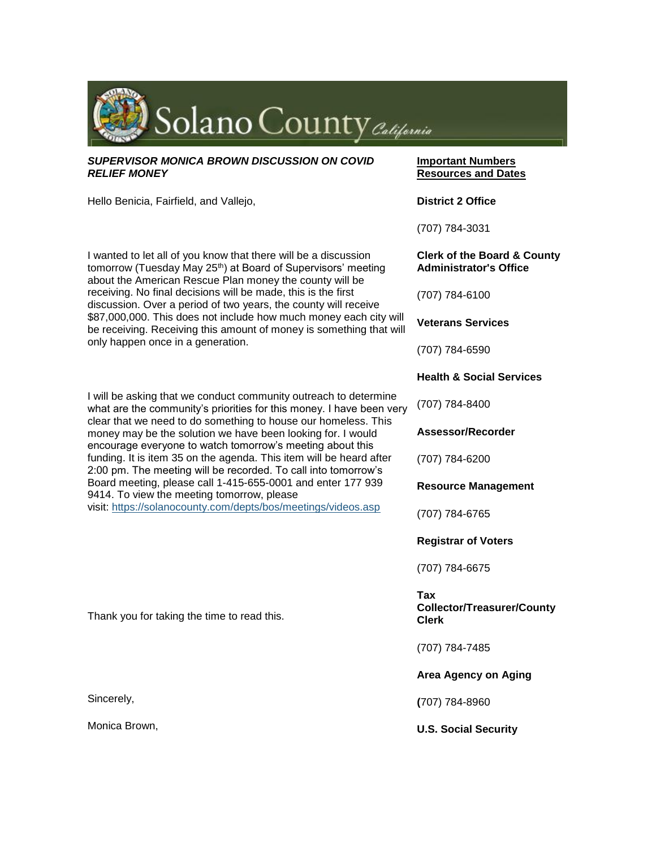

#### *SUPERVISOR MONICA BROWN DISCUSSION ON COVID RELIEF MONEY*

Hello Benicia, Fairfield, and Vallejo,

I wanted to let all of you know that there will be a discussion tomorrow (Tuesday May 25<sup>th</sup>) at Board of Supervisors' meeting about the American Rescue Plan money the county will be receiving. No final decisions will be made, this is the first discussion. Over a period of two years, the county will receive \$87,000,000. This does not include how much money each city will be receiving. Receiving this amount of money is something that will only happen once in a generation.

I will be asking that we conduct community outreach to determine what are the community's priorities for this money. I have been very clear that we need to do something to house our homeless. This money may be the solution we have been looking for. I would encourage everyone to watch tomorrow's meeting about this funding. It is item 35 on the agenda. This item will be heard after 2:00 pm. The meeting will be recorded. To call into tomorrow's Board meeting, please call 1-415-655-0001 and enter 177 939 9414. To view the meeting tomorrow, please visit: <https://solanocounty.com/depts/bos/meetings/videos.asp>

Thank you for taking the time to read this.

Sincerely,

Monica Brown,

### **Important Numbers Resources and Dates**

**District 2 Office**

(707) 784-3031

#### **Clerk of the Board & County Administrator's Office**

(707) 784-6100

**Veterans Services**

(707) 784-6590

## **Health & Social Services**

(707) 784-8400

**Assessor/Recorder**

(707) 784-6200

**Resource Management**

(707) 784-6765

**Registrar of Voters**

(707) 784-6675

### **Tax Collector/Treasurer/County Clerk**

(707) 784-7485

## **Area Agency on Aging**

#### **(**707) 784-8960

**U.S. Social Security**